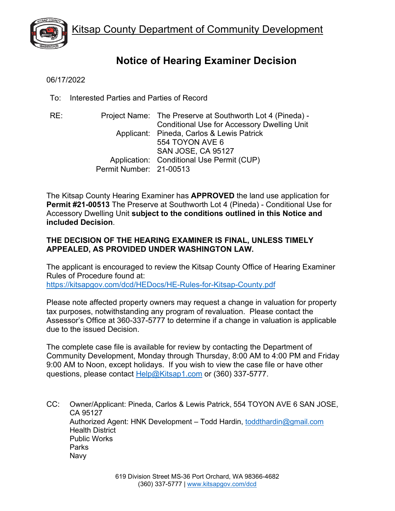

# **Notice of Hearing Examiner Decision**

06/17/2022

To: Interested Parties and Parties of Record

RE: Project Name: The Preserve at Southworth Lot 4 (Pineda) - Conditional Use for Accessory Dwelling Unit Applicant: Pineda, Carlos & Lewis Patrick 554 TOYON AVE 6 SAN JOSE, CA 95127 Application: Conditional Use Permit (CUP) Permit Number: 21-00513

The Kitsap County Hearing Examiner has **APPROVED** the land use application for **Permit #21-00513** The Preserve at Southworth Lot 4 (Pineda) - Conditional Use for Accessory Dwelling Unit **subject to the conditions outlined in this Notice and included Decision**.

# **THE DECISION OF THE HEARING EXAMINER IS FINAL, UNLESS TIMELY APPEALED, AS PROVIDED UNDER WASHINGTON LAW.**

The applicant is encouraged to review the Kitsap County Office of Hearing Examiner Rules of Procedure found at: <https://kitsapgov.com/dcd/HEDocs/HE-Rules-for-Kitsap-County.pdf>

Please note affected property owners may request a change in valuation for property tax purposes, notwithstanding any program of revaluation. Please contact the Assessor's Office at 360-337-5777 to determine if a change in valuation is applicable due to the issued Decision.

The complete case file is available for review by contacting the Department of Community Development, Monday through Thursday, 8:00 AM to 4:00 PM and Friday 9:00 AM to Noon, except holidays. If you wish to view the case file or have other questions, please contact [Help@Kitsap1.com](mailto:Help@Kitsap1.com) or (360) 337-5777.

CC: Owner/Applicant: Pineda, Carlos & Lewis Patrick, 554 TOYON AVE 6 SAN JOSE, CA 95127 Authorized Agent: HNK Development - Todd Hardin, [toddthardin@gmail.com](mailto:toddthardin@gmail.com) Health District Public Works Parks Navy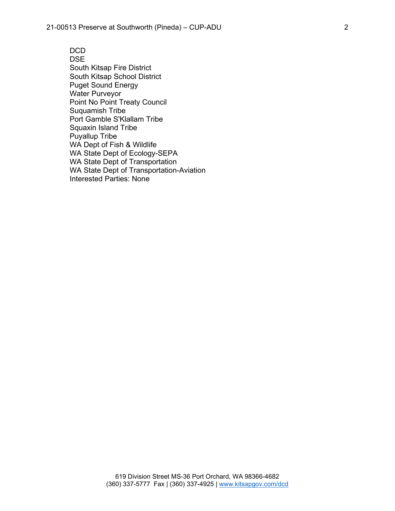DCD DSE South Kitsap Fire District South Kitsap School District Puget Sound Energy Water Purveyor Point No Point Treaty Council Suquamish Tribe Port Gamble S'Klallam Tribe Squaxin Island Tribe Puyallup Tribe WA Dept of Fish & Wildlife WA State Dept of Ecology-SEPA WA State Dept of Transportation WA State Dept of Transportation-Aviation Interested Parties: None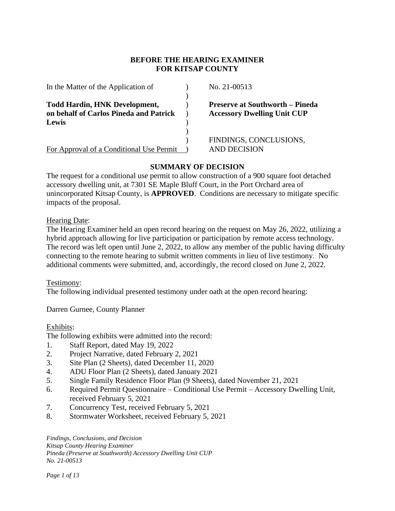## **BEFORE THE HEARING EXAMINER FOR KITSAP COUNTY**

| In the Matter of the Application of      | No. 21-00513                           |
|------------------------------------------|----------------------------------------|
| <b>Todd Hardin, HNK Development,</b>     | <b>Preserve at Southworth - Pineda</b> |
| on behalf of Carlos Pineda and Patrick   | <b>Accessory Dwelling Unit CUP</b>     |
| Lewis                                    |                                        |
|                                          |                                        |
|                                          | FINDINGS, CONCLUSIONS,                 |
| For Approval of a Conditional Use Permit | AND DECISION                           |

# **SUMMARY OF DECISION**

The request for a conditional use permit to allow construction of a 900 square foot detached accessory dwelling unit, at 7301 SE Maple Bluff Court, in the Port Orchard area of unincorporated Kitsap County, is **APPROVED**. Conditions are necessary to mitigate specific impacts of the proposal.

Hearing Date:

The Hearing Examiner held an open record hearing on the request on May 26, 2022, utilizing a hybrid approach allowing for live participation or participation by remote access technology. The record was left open until June 2, 2022, to allow any member of the public having difficulty connecting to the remote hearing to submit written comments in lieu of live testimony. No additional comments were submitted, and, accordingly, the record closed on June 2, 2022.

#### Testimony:

The following individual presented testimony under oath at the open record hearing:

Darren Gurnee, County Planner

#### Exhibits:

The following exhibits were admitted into the record:

- 1. Staff Report, dated May 19, 2022
- 2. Project Narrative, dated February 2, 2021
- 3. Site Plan (2 Sheets), dated December 11, 2020
- 4. ADU Floor Plan (2 Sheets), dated January 2021
- 5. Single Family Residence Floor Plan (9 Sheets), dated November 21, 2021
- 6. Required Permit Questionnaire Conditional Use Permit Accessory Dwelling Unit, received February 5, 2021
- 7. Concurrency Test, received February 5, 2021
- 8. Stormwater Worksheet, received February 5, 2021

*Findings, Conclusions, and Decision Kitsap County Hearing Examiner Pineda (Preserve at Southworth) Accessory Dwelling Unit CUP No. 21-00513*

*Page 1 of 13*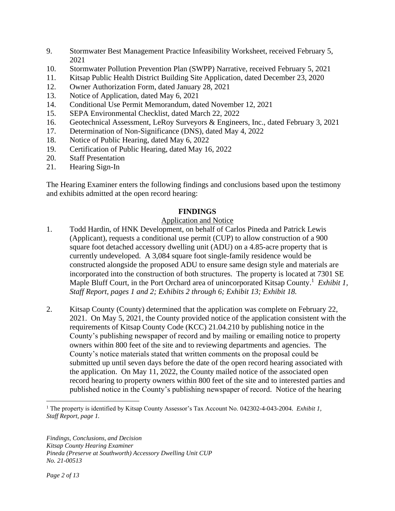- 9. Stormwater Best Management Practice Infeasibility Worksheet, received February 5, 2021
- 10. Stormwater Pollution Prevention Plan (SWPP) Narrative, received February 5, 2021
- 11. Kitsap Public Health District Building Site Application, dated December 23, 2020
- 12. Owner Authorization Form, dated January 28, 2021
- 13. Notice of Application, dated May 6, 2021
- 14. Conditional Use Permit Memorandum, dated November 12, 2021
- 15. SEPA Environmental Checklist, dated March 22, 2022
- 16. Geotechnical Assessment, LeRoy Surveyors & Engineers, Inc., dated February 3, 2021
- 17. Determination of Non-Significance (DNS), dated May 4, 2022
- 18. Notice of Public Hearing, dated May 6, 2022
- 19. Certification of Public Hearing, dated May 16, 2022
- 20. Staff Presentation
- 21. Hearing Sign-In

The Hearing Examiner enters the following findings and conclusions based upon the testimony and exhibits admitted at the open record hearing:

## **FINDINGS**

## Application and Notice

- 1. Todd Hardin, of HNK Development, on behalf of Carlos Pineda and Patrick Lewis (Applicant), requests a conditional use permit (CUP) to allow construction of a 900 square foot detached accessory dwelling unit (ADU) on a 4.85-acre property that is currently undeveloped. A 3,084 square foot single-family residence would be constructed alongside the proposed ADU to ensure same design style and materials are incorporated into the construction of both structures. The property is located at 7301 SE Maple Bluff Court, in the Port Orchard area of unincorporated Kitsap County.<sup>1</sup> Exhibit 1, *Staff Report, pages 1 and 2; Exhibits 2 through 6; Exhibit 13; Exhibit 18.*
- 2. Kitsap County (County) determined that the application was complete on February 22, 2021. On May 5, 2021, the County provided notice of the application consistent with the requirements of Kitsap County Code (KCC) 21.04.210 by publishing notice in the County's publishing newspaper of record and by mailing or emailing notice to property owners within 800 feet of the site and to reviewing departments and agencies. The County's notice materials stated that written comments on the proposal could be submitted up until seven days before the date of the open record hearing associated with the application. On May 11, 2022, the County mailed notice of the associated open record hearing to property owners within 800 feet of the site and to interested parties and published notice in the County's publishing newspaper of record. Notice of the hearing

<sup>&</sup>lt;sup>1</sup> The property is identified by Kitsap County Assessor's Tax Account No. 042302-4-043-2004. *Exhibit 1*, *Staff Report, page 1.*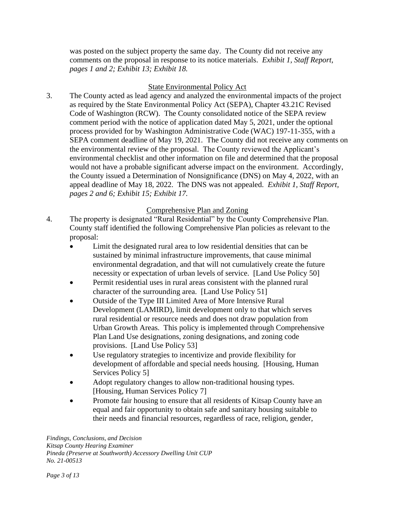was posted on the subject property the same day. The County did not receive any comments on the proposal in response to its notice materials. *Exhibit 1, Staff Report, pages 1 and 2; Exhibit 13; Exhibit 18.* 

# State Environmental Policy Act

3. The County acted as lead agency and analyzed the environmental impacts of the project as required by the State Environmental Policy Act (SEPA), Chapter 43.21C Revised Code of Washington (RCW). The County consolidated notice of the SEPA review comment period with the notice of application dated May 5, 2021, under the optional process provided for by Washington Administrative Code (WAC) 197-11-355, with a SEPA comment deadline of May 19, 2021. The County did not receive any comments on the environmental review of the proposal. The County reviewed the Applicant's environmental checklist and other information on file and determined that the proposal would not have a probable significant adverse impact on the environment. Accordingly, the County issued a Determination of Nonsignificance (DNS) on May 4, 2022, with an appeal deadline of May 18, 2022. The DNS was not appealed. *Exhibit 1, Staff Report, pages 2 and 6; Exhibit 15; Exhibit 17.*

# Comprehensive Plan and Zoning

- 4. The property is designated "Rural Residential" by the County Comprehensive Plan. County staff identified the following Comprehensive Plan policies as relevant to the proposal:
	- Limit the designated rural area to low residential densities that can be sustained by minimal infrastructure improvements, that cause minimal environmental degradation, and that will not cumulatively create the future necessity or expectation of urban levels of service. [Land Use Policy 50]
	- Permit residential uses in rural areas consistent with the planned rural character of the surrounding area. [Land Use Policy 51]
	- Outside of the Type III Limited Area of More Intensive Rural Development (LAMIRD), limit development only to that which serves rural residential or resource needs and does not draw population from Urban Growth Areas. This policy is implemented through Comprehensive Plan Land Use designations, zoning designations, and zoning code provisions. [Land Use Policy 53]
	- Use regulatory strategies to incentivize and provide flexibility for development of affordable and special needs housing. [Housing, Human Services Policy 5]
	- Adopt regulatory changes to allow non-traditional housing types. [Housing, Human Services Policy 7]
	- Promote fair housing to ensure that all residents of Kitsap County have an equal and fair opportunity to obtain safe and sanitary housing suitable to their needs and financial resources, regardless of race, religion, gender,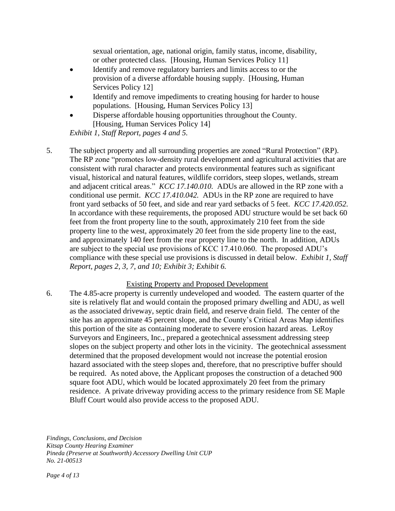sexual orientation, age, national origin, family status, income, disability, or other protected class. [Housing, Human Services Policy 11]

- Identify and remove regulatory barriers and limits access to or the provision of a diverse affordable housing supply. [Housing, Human Services Policy 12]
- Identify and remove impediments to creating housing for harder to house populations. [Housing, Human Services Policy 13]
- Disperse affordable housing opportunities throughout the County. [Housing, Human Services Policy 14]

*Exhibit 1, Staff Report, pages 4 and 5.*

5. The subject property and all surrounding properties are zoned "Rural Protection" (RP). The RP zone "promotes low-density rural development and agricultural activities that are consistent with rural character and protects environmental features such as significant visual, historical and natural features, wildlife corridors, steep slopes, wetlands, stream and adjacent critical areas." *KCC 17.140.010.* ADUs are allowed in the RP zone with a conditional use permit. *KCC 17.410.042.* ADUs in the RP zone are required to have front yard setbacks of 50 feet, and side and rear yard setbacks of 5 feet. *KCC 17.420.052.*  In accordance with these requirements, the proposed ADU structure would be set back 60 feet from the front property line to the south, approximately 210 feet from the side property line to the west, approximately 20 feet from the side property line to the east, and approximately 140 feet from the rear property line to the north. In addition, ADUs are subject to the special use provisions of KCC 17.410.060. The proposed ADU's compliance with these special use provisions is discussed in detail below. *Exhibit 1, Staff Report, pages 2, 3, 7, and 10; Exhibit 3; Exhibit 6.*

## Existing Property and Proposed Development

6. The 4.85-acre property is currently undeveloped and wooded. The eastern quarter of the site is relatively flat and would contain the proposed primary dwelling and ADU, as well as the associated driveway, septic drain field, and reserve drain field. The center of the site has an approximate 45 percent slope, and the County's Critical Areas Map identifies this portion of the site as containing moderate to severe erosion hazard areas. LeRoy Surveyors and Engineers, Inc., prepared a geotechnical assessment addressing steep slopes on the subject property and other lots in the vicinity. The geotechnical assessment determined that the proposed development would not increase the potential erosion hazard associated with the steep slopes and, therefore, that no prescriptive buffer should be required. As noted above, the Applicant proposes the construction of a detached 900 square foot ADU, which would be located approximately 20 feet from the primary residence. A private driveway providing access to the primary residence from SE Maple Bluff Court would also provide access to the proposed ADU.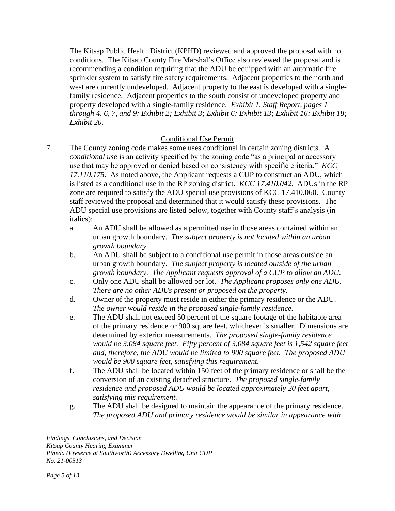The Kitsap Public Health District (KPHD) reviewed and approved the proposal with no conditions. The Kitsap County Fire Marshal's Office also reviewed the proposal and is recommending a condition requiring that the ADU be equipped with an automatic fire sprinkler system to satisfy fire safety requirements. Adjacent properties to the north and west are currently undeveloped. Adjacent property to the east is developed with a singlefamily residence. Adjacent properties to the south consist of undeveloped property and property developed with a single-family residence. *Exhibit 1, Staff Report, pages 1 through 4, 6, 7, and 9; Exhibit 2; Exhibit 3; Exhibit 6; Exhibit 13; Exhibit 16; Exhibit 18; Exhibit 20.*

# Conditional Use Permit

- 7. The County zoning code makes some uses conditional in certain zoning districts. A *conditional use* is an activity specified by the zoning code "as a principal or accessory use that may be approved or denied based on consistency with specific criteria." *KCC 17.110.175.* As noted above, the Applicant requests a CUP to construct an ADU, which is listed as a conditional use in the RP zoning district. *KCC 17.410.042.* ADUs in the RP zone are required to satisfy the ADU special use provisions of KCC 17.410.060. County staff reviewed the proposal and determined that it would satisfy these provisions. The ADU special use provisions are listed below, together with County staff's analysis (in italics):
	- a. An ADU shall be allowed as a permitted use in those areas contained within an urban growth boundary. *The subject property is not located within an urban growth boundary.*
	- b. An ADU shall be subject to a conditional use permit in those areas outside an urban growth boundary. *The subject property is located outside of the urban growth boundary. The Applicant requests approval of a CUP to allow an ADU.*
	- c. Only one ADU shall be allowed per lot. *The Applicant proposes only one ADU. There are no other ADUs present or proposed on the property.*
	- d. Owner of the property must reside in either the primary residence or the ADU. *The owner would reside in the proposed single-family residence.*
	- e. The ADU shall not exceed 50 percent of the square footage of the habitable area of the primary residence or 900 square feet, whichever is smaller. Dimensions are determined by exterior measurements. *The proposed single-family residence would be 3,084 square feet. Fifty percent of 3,084 square feet is 1,542 square feet and, therefore, the ADU would be limited to 900 square feet. The proposed ADU would be 900 square feet, satisfying this requirement.*
	- f. The ADU shall be located within 150 feet of the primary residence or shall be the conversion of an existing detached structure. *The proposed single-family residence and proposed ADU would be located approximately 20 feet apart, satisfying this requirement.*
	- g. The ADU shall be designed to maintain the appearance of the primary residence. *The proposed ADU and primary residence would be similar in appearance with*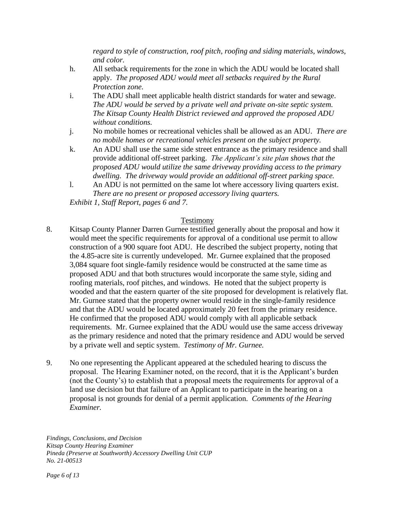*regard to style of construction, roof pitch, roofing and siding materials, windows, and color.*

- h. All setback requirements for the zone in which the ADU would be located shall apply. *The proposed ADU would meet all setbacks required by the Rural Protection zone.*
- i. The ADU shall meet applicable health district standards for water and sewage. *The ADU would be served by a private well and private on-site septic system. The Kitsap County Health District reviewed and approved the proposed ADU without conditions.*
- j. No mobile homes or recreational vehicles shall be allowed as an ADU. *There are no mobile homes or recreational vehicles present on the subject property.*
- k. An ADU shall use the same side street entrance as the primary residence and shall provide additional off-street parking. *The Applicant's site plan shows that the proposed ADU would utilize the same driveway providing access to the primary dwelling. The driveway would provide an additional off-street parking space.*
- l. An ADU is not permitted on the same lot where accessory living quarters exist. *There are no present or proposed accessory living quarters.*

*Exhibit 1, Staff Report, pages 6 and 7.*

## Testimony

- 8. Kitsap County Planner Darren Gurnee testified generally about the proposal and how it would meet the specific requirements for approval of a conditional use permit to allow construction of a 900 square foot ADU. He described the subject property, noting that the 4.85-acre site is currently undeveloped. Mr. Gurnee explained that the proposed 3,084 square foot single-family residence would be constructed at the same time as proposed ADU and that both structures would incorporate the same style, siding and roofing materials, roof pitches, and windows. He noted that the subject property is wooded and that the eastern quarter of the site proposed for development is relatively flat. Mr. Gurnee stated that the property owner would reside in the single-family residence and that the ADU would be located approximately 20 feet from the primary residence. He confirmed that the proposed ADU would comply with all applicable setback requirements.Mr. Gurnee explained that the ADU would use the same access driveway as the primary residence and noted that the primary residence and ADU would be served by a private well and septic system. *Testimony of Mr. Gurnee.*
- 9. No one representing the Applicant appeared at the scheduled hearing to discuss the proposal. The Hearing Examiner noted, on the record, that it is the Applicant's burden (not the County's) to establish that a proposal meets the requirements for approval of a land use decision but that failure of an Applicant to participate in the hearing on a proposal is not grounds for denial of a permit application. *Comments of the Hearing Examiner.*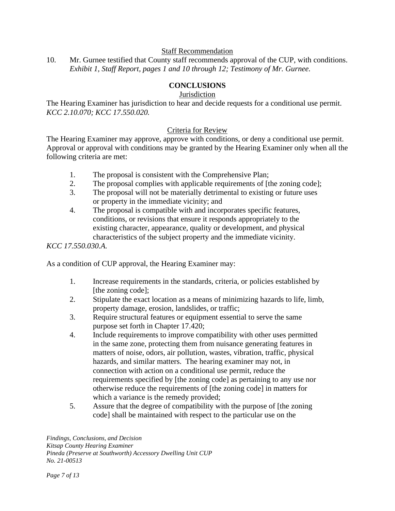#### Staff Recommendation

10. Mr. Gurnee testified that County staff recommends approval of the CUP, with conditions. *Exhibit 1, Staff Report, pages 1 and 10 through 12; Testimony of Mr. Gurnee.*

## **CONCLUSIONS**

#### **Jurisdiction**

The Hearing Examiner has jurisdiction to hear and decide requests for a conditional use permit. *KCC 2.10.070; KCC 17.550.020.*

#### Criteria for Review

The Hearing Examiner may approve, approve with conditions, or deny a conditional use permit. Approval or approval with conditions may be granted by the Hearing Examiner only when all the following criteria are met:

- 1. The proposal is consistent with the Comprehensive Plan;
- 2. The proposal complies with applicable requirements of [the zoning code];
- 3. The proposal will not be materially detrimental to existing or future uses or property in the immediate vicinity; and
- 4. The proposal is compatible with and incorporates specific features, conditions, or revisions that ensure it responds appropriately to the existing character, appearance, quality or development, and physical characteristics of the subject property and the immediate vicinity.

*KCC 17.550.030.A.*

As a condition of CUP approval, the Hearing Examiner may:

- 1. Increase requirements in the standards, criteria, or policies established by [the zoning code];
- 2. Stipulate the exact location as a means of minimizing hazards to life, limb, property damage, erosion, landslides, or traffic;
- 3. Require structural features or equipment essential to serve the same purpose set forth in Chapter 17.420;
- 4. Include requirements to improve compatibility with other uses permitted in the same zone, protecting them from nuisance generating features in matters of noise, odors, air pollution, wastes, vibration, traffic, physical hazards, and similar matters. The hearing examiner may not, in connection with action on a conditional use permit, reduce the requirements specified by [the zoning code] as pertaining to any use nor otherwise reduce the requirements of [the zoning code] in matters for which a variance is the remedy provided;
- 5. Assure that the degree of compatibility with the purpose of [the zoning code] shall be maintained with respect to the particular use on the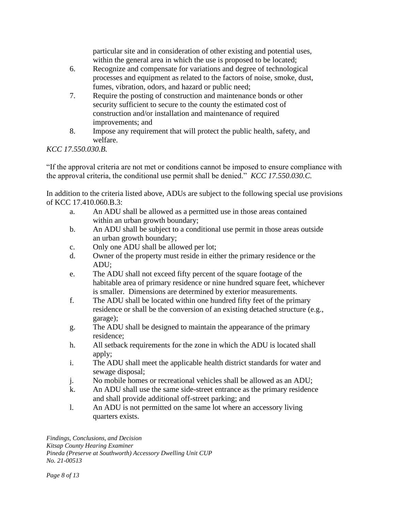particular site and in consideration of other existing and potential uses, within the general area in which the use is proposed to be located;

- 6. Recognize and compensate for variations and degree of technological processes and equipment as related to the factors of noise, smoke, dust, fumes, vibration, odors, and hazard or public need;
- 7. Require the posting of construction and maintenance bonds or other security sufficient to secure to the county the estimated cost of construction and/or installation and maintenance of required improvements; and
- 8. Impose any requirement that will protect the public health, safety, and welfare.

*KCC 17.550.030.B.*

"If the approval criteria are not met or conditions cannot be imposed to ensure compliance with the approval criteria, the conditional use permit shall be denied." *KCC 17.550.030.C.*

In addition to the criteria listed above, ADUs are subject to the following special use provisions of KCC 17.410.060.B.3:

- a. An ADU shall be allowed as a permitted use in those areas contained within an urban growth boundary;
- b. An ADU shall be subject to a conditional use permit in those areas outside an urban growth boundary;
- c. Only one ADU shall be allowed per lot;
- d. Owner of the property must reside in either the primary residence or the ADU;
- e. The ADU shall not exceed fifty percent of the square footage of the habitable area of primary residence or nine hundred square feet, whichever is smaller. Dimensions are determined by exterior measurements.
- f. The ADU shall be located within one hundred fifty feet of the primary residence or shall be the conversion of an existing detached structure (e.g., garage);
- g. The ADU shall be designed to maintain the appearance of the primary residence;
- h. All setback requirements for the zone in which the ADU is located shall apply;
- i. The ADU shall meet the applicable health district standards for water and sewage disposal;
- j. No mobile homes or recreational vehicles shall be allowed as an ADU;
- k. An ADU shall use the same side-street entrance as the primary residence and shall provide additional off-street parking; and
- l. An ADU is not permitted on the same lot where an accessory living quarters exists.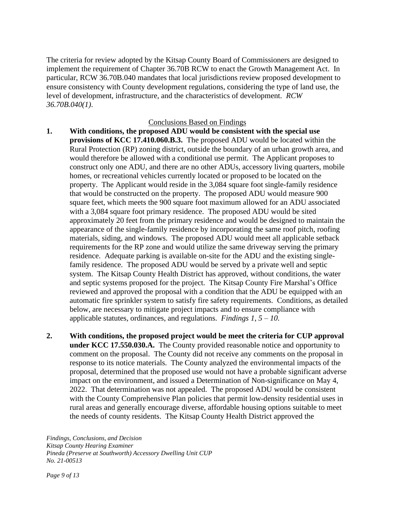The criteria for review adopted by the Kitsap County Board of Commissioners are designed to implement the requirement of Chapter 36.70B RCW to enact the Growth Management Act. In particular, RCW 36.70B.040 mandates that local jurisdictions review proposed development to ensure consistency with County development regulations, considering the type of land use, the level of development, infrastructure, and the characteristics of development. *RCW 36.70B.040(1)*.

#### Conclusions Based on Findings

- **1. With conditions, the proposed ADU would be consistent with the special use provisions of KCC 17.410.060.B.3.** The proposed ADU would be located within the Rural Protection (RP) zoning district, outside the boundary of an urban growth area, and would therefore be allowed with a conditional use permit. The Applicant proposes to construct only one ADU, and there are no other ADUs, accessory living quarters, mobile homes, or recreational vehicles currently located or proposed to be located on the property. The Applicant would reside in the 3,084 square foot single-family residence that would be constructed on the property. The proposed ADU would measure 900 square feet, which meets the 900 square foot maximum allowed for an ADU associated with a 3,084 square foot primary residence. The proposed ADU would be sited approximately 20 feet from the primary residence and would be designed to maintain the appearance of the single-family residence by incorporating the same roof pitch, roofing materials, siding, and windows. The proposed ADU would meet all applicable setback requirements for the RP zone and would utilize the same driveway serving the primary residence. Adequate parking is available on-site for the ADU and the existing singlefamily residence. The proposed ADU would be served by a private well and septic system. The Kitsap County Health District has approved, without conditions, the water and septic systems proposed for the project. The Kitsap County Fire Marshal's Office reviewed and approved the proposal with a condition that the ADU be equipped with an automatic fire sprinkler system to satisfy fire safety requirements. Conditions, as detailed below, are necessary to mitigate project impacts and to ensure compliance with applicable statutes, ordinances, and regulations. *Findings 1, 5 – 10.*
- **2. With conditions, the proposed project would be meet the criteria for CUP approval under KCC 17.550.030.A.** The County provided reasonable notice and opportunity to comment on the proposal. The County did not receive any comments on the proposal in response to its notice materials. The County analyzed the environmental impacts of the proposal, determined that the proposed use would not have a probable significant adverse impact on the environment, and issued a Determination of Non-significance on May 4, 2022. That determination was not appealed. The proposed ADU would be consistent with the County Comprehensive Plan policies that permit low-density residential uses in rural areas and generally encourage diverse, affordable housing options suitable to meet the needs of county residents. The Kitsap County Health District approved the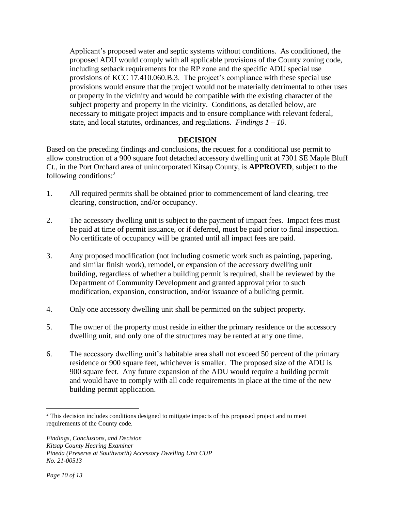Applicant's proposed water and septic systems without conditions. As conditioned, the proposed ADU would comply with all applicable provisions of the County zoning code, including setback requirements for the RP zone and the specific ADU special use provisions of KCC 17.410.060.B.3. The project's compliance with these special use provisions would ensure that the project would not be materially detrimental to other uses or property in the vicinity and would be compatible with the existing character of the subject property and property in the vicinity. Conditions, as detailed below, are necessary to mitigate project impacts and to ensure compliance with relevant federal, state, and local statutes, ordinances, and regulations. *Findings 1 – 10.*

## **DECISION**

Based on the preceding findings and conclusions, the request for a conditional use permit to allow construction of a 900 square foot detached accessory dwelling unit at 7301 SE Maple Bluff Ct., in the Port Orchard area of unincorporated Kitsap County, is **APPROVED**, subject to the following conditions:<sup>2</sup>

- 1. All required permits shall be obtained prior to commencement of land clearing, tree clearing, construction, and/or occupancy.
- 2. The accessory dwelling unit is subject to the payment of impact fees. Impact fees must be paid at time of permit issuance, or if deferred, must be paid prior to final inspection. No certificate of occupancy will be granted until all impact fees are paid.
- 3. Any proposed modification (not including cosmetic work such as painting, papering, and similar finish work), remodel, or expansion of the accessory dwelling unit building, regardless of whether a building permit is required, shall be reviewed by the Department of Community Development and granted approval prior to such modification, expansion, construction, and/or issuance of a building permit.
- 4. Only one accessory dwelling unit shall be permitted on the subject property.
- 5. The owner of the property must reside in either the primary residence or the accessory dwelling unit, and only one of the structures may be rented at any one time.
- 6. The accessory dwelling unit's habitable area shall not exceed 50 percent of the primary residence or 900 square feet, whichever is smaller. The proposed size of the ADU is 900 square feet. Any future expansion of the ADU would require a building permit and would have to comply with all code requirements in place at the time of the new building permit application.

<sup>&</sup>lt;sup>2</sup> This decision includes conditions designed to mitigate impacts of this proposed project and to meet requirements of the County code.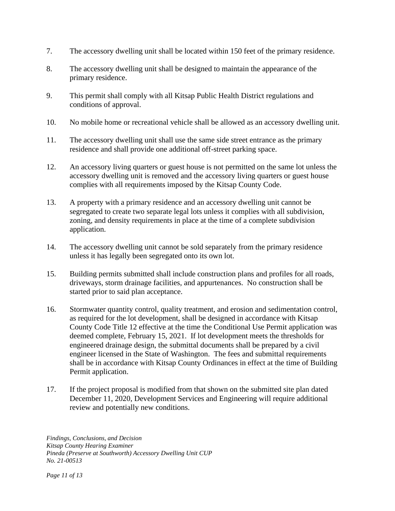- 7. The accessory dwelling unit shall be located within 150 feet of the primary residence.
- 8. The accessory dwelling unit shall be designed to maintain the appearance of the primary residence.
- 9. This permit shall comply with all Kitsap Public Health District regulations and conditions of approval.
- 10. No mobile home or recreational vehicle shall be allowed as an accessory dwelling unit.
- 11. The accessory dwelling unit shall use the same side street entrance as the primary residence and shall provide one additional off-street parking space.
- 12. An accessory living quarters or guest house is not permitted on the same lot unless the accessory dwelling unit is removed and the accessory living quarters or guest house complies with all requirements imposed by the Kitsap County Code.
- 13. A property with a primary residence and an accessory dwelling unit cannot be segregated to create two separate legal lots unless it complies with all subdivision, zoning, and density requirements in place at the time of a complete subdivision application.
- 14. The accessory dwelling unit cannot be sold separately from the primary residence unless it has legally been segregated onto its own lot.
- 15. Building permits submitted shall include construction plans and profiles for all roads, driveways, storm drainage facilities, and appurtenances. No construction shall be started prior to said plan acceptance.
- 16. Stormwater quantity control, quality treatment, and erosion and sedimentation control, as required for the lot development, shall be designed in accordance with Kitsap County Code Title 12 effective at the time the Conditional Use Permit application was deemed complete, February 15, 2021. If lot development meets the thresholds for engineered drainage design, the submittal documents shall be prepared by a civil engineer licensed in the State of Washington. The fees and submittal requirements shall be in accordance with Kitsap County Ordinances in effect at the time of Building Permit application.
- 17. If the project proposal is modified from that shown on the submitted site plan dated December 11, 2020, Development Services and Engineering will require additional review and potentially new conditions.

*Findings, Conclusions, and Decision Kitsap County Hearing Examiner Pineda (Preserve at Southworth) Accessory Dwelling Unit CUP No. 21-00513*

*Page 11 of 13*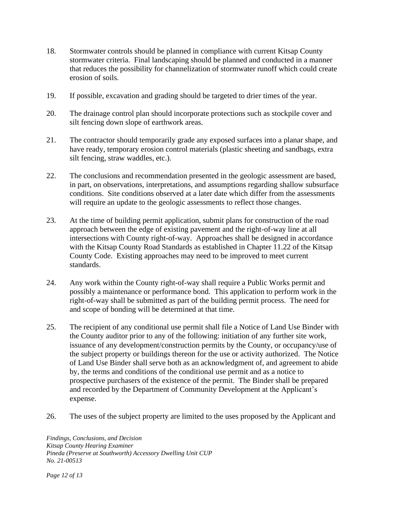- 18. Stormwater controls should be planned in compliance with current Kitsap County stormwater criteria. Final landscaping should be planned and conducted in a manner that reduces the possibility for channelization of stormwater runoff which could create erosion of soils.
- 19. If possible, excavation and grading should be targeted to drier times of the year.
- 20. The drainage control plan should incorporate protections such as stockpile cover and silt fencing down slope of earthwork areas.
- 21. The contractor should temporarily grade any exposed surfaces into a planar shape, and have ready, temporary erosion control materials (plastic sheeting and sandbags, extra silt fencing, straw waddles, etc.).
- 22. The conclusions and recommendation presented in the geologic assessment are based, in part, on observations, interpretations, and assumptions regarding shallow subsurface conditions. Site conditions observed at a later date which differ from the assessments will require an update to the geologic assessments to reflect those changes.
- 23. At the time of building permit application, submit plans for construction of the road approach between the edge of existing pavement and the right-of-way line at all intersections with County right-of-way. Approaches shall be designed in accordance with the Kitsap County Road Standards as established in Chapter 11.22 of the Kitsap County Code. Existing approaches may need to be improved to meet current standards.
- 24. Any work within the County right-of-way shall require a Public Works permit and possibly a maintenance or performance bond. This application to perform work in the right-of-way shall be submitted as part of the building permit process. The need for and scope of bonding will be determined at that time.
- 25. The recipient of any conditional use permit shall file a Notice of Land Use Binder with the County auditor prior to any of the following: initiation of any further site work, issuance of any development/construction permits by the County, or occupancy/use of the subject property or buildings thereon for the use or activity authorized. The Notice of Land Use Binder shall serve both as an acknowledgment of, and agreement to abide by, the terms and conditions of the conditional use permit and as a notice to prospective purchasers of the existence of the permit. The Binder shall be prepared and recorded by the Department of Community Development at the Applicant's expense.
- 26. The uses of the subject property are limited to the uses proposed by the Applicant and

*Findings, Conclusions, and Decision Kitsap County Hearing Examiner Pineda (Preserve at Southworth) Accessory Dwelling Unit CUP No. 21-00513*

*Page 12 of 13*